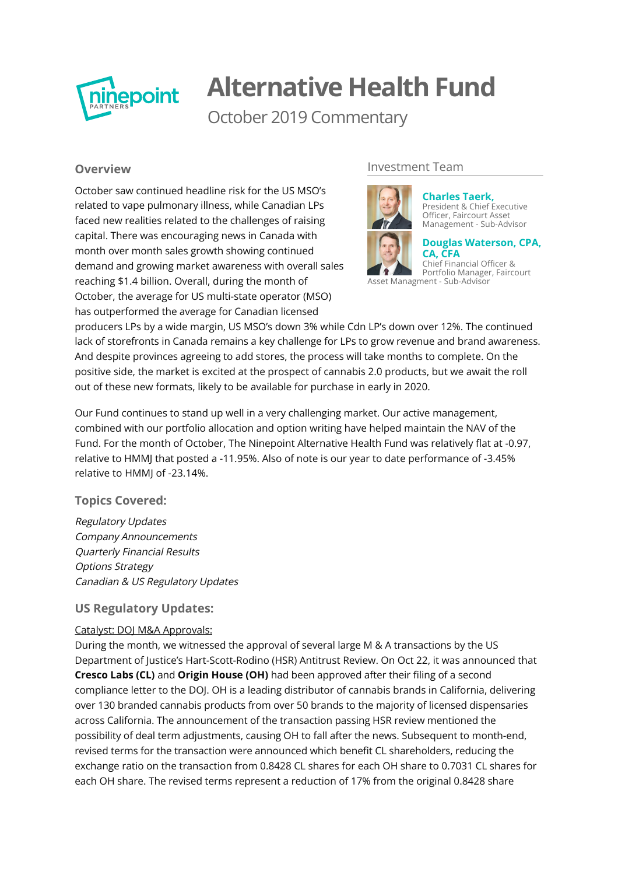

# **Alternative Health Fund**

October 2019 Commentary

## **Overview**

October saw continued headline risk for the US MSO's related to vape pulmonary illness, while Canadian LPs faced new realities related to the challenges of raising capital. There was encouraging news in Canada with month over month sales growth showing continued demand and growing market awareness with overall sales reaching \$1.4 billion. Overall, during the month of October, the average for US multi-state operator (MSO) has outperformed the average for Canadian licensed

## Investment Team



**Charles Taerk,** [President & Chief Executive](http://ninepoint.com/about-ninepoint/leadership/investment-team/ninepoint/charles-taerk/) Officer, Faircourt Asset Management - Sub-Advisor

**[Douglas Waterson, CPA,](http://ninepoint.com/about-ninepoint/leadership/investment-team/ninepoint/douglas-waterson/) CA, CFA** Chief Financial Officer &

Portfolio Manager, Faircourt Asset Managment - Sub-Advisor

producers LPs by a wide margin, US MSO's down 3% while Cdn LP's down over 12%. The continued lack of storefronts in Canada remains a key challenge for LPs to grow revenue and brand awareness. And despite provinces agreeing to add stores, the process will take months to complete. On the positive side, the market is excited at the prospect of cannabis 2.0 products, but we await the roll out of these new formats, likely to be available for purchase in early in 2020.

Our Fund continues to stand up well in a very challenging market. Our active management, combined with our portfolio allocation and option writing have helped maintain the NAV of the Fund. For the month of October, The Ninepoint Alternative Health Fund was relatively flat at -0.97, relative to HMMJ that posted a -11.95%. Also of note is our year to date performance of -3.45% relative to HMMJ of -23.14%.

## **Topics Covered:**

Regulatory Updates Company Announcements Quarterly Financial Results Options Strategy Canadian & US Regulatory Updates

## **US Regulatory Updates:**

### Catalyst: DOJ M&A Approvals:

During the month, we witnessed the approval of several large M & A transactions by the US Department of Justice's Hart-Scott-Rodino (HSR) Antitrust Review. On Oct 22, it was announced that **Cresco Labs (CL)** and **Origin House (OH)** had been approved after their filing of a second compliance letter to the DOJ. OH is a leading distributor of cannabis brands in California, delivering over 130 branded cannabis products from over 50 brands to the majority of licensed dispensaries across California. The announcement of the transaction passing HSR review mentioned the possibility of deal term adjustments, causing OH to fall after the news. Subsequent to month-end, revised terms for the transaction were announced which benefit CL shareholders, reducing the exchange ratio on the transaction from 0.8428 CL shares for each OH share to 0.7031 CL shares for each OH share. The revised terms represent a reduction of 17% from the original 0.8428 share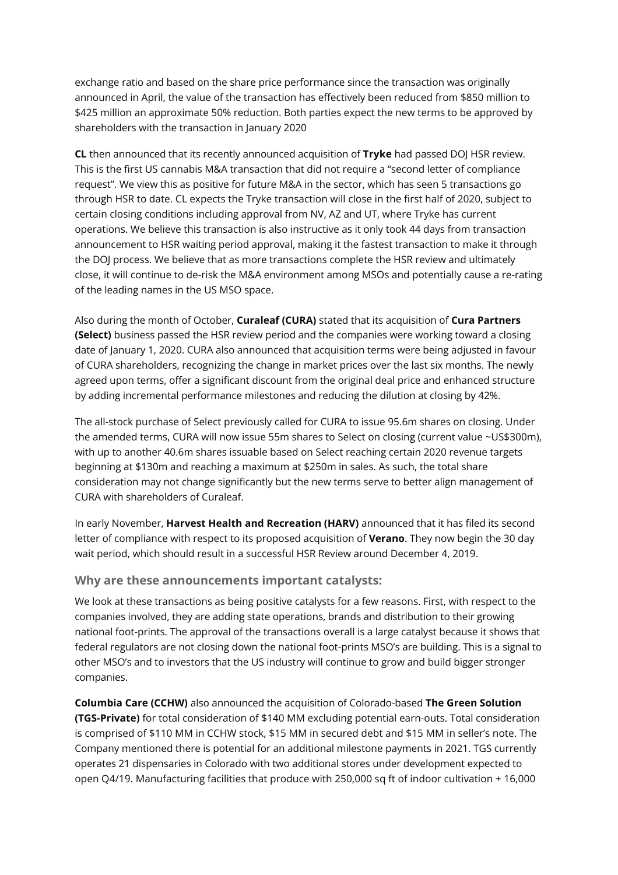exchange ratio and based on the share price performance since the transaction was originally announced in April, the value of the transaction has effectively been reduced from \$850 million to \$425 million an approximate 50% reduction. Both parties expect the new terms to be approved by shareholders with the transaction in January 2020

**CL** then announced that its recently announced acquisition of **Tryke** had passed DOJ HSR review. This is the first US cannabis M&A transaction that did not require a "second letter of compliance request". We view this as positive for future M&A in the sector, which has seen 5 transactions go through HSR to date. CL expects the Tryke transaction will close in the first half of 2020, subject to certain closing conditions including approval from NV, AZ and UT, where Tryke has current operations. We believe this transaction is also instructive as it only took 44 days from transaction announcement to HSR waiting period approval, making it the fastest transaction to make it through the DOJ process. We believe that as more transactions complete the HSR review and ultimately close, it will continue to de-risk the M&A environment among MSOs and potentially cause a re-rating of the leading names in the US MSO space.

Also during the month of October, **Curaleaf (CURA)** stated that its acquisition of **Cura Partners (Select)** business passed the HSR review period and the companies were working toward a closing date of January 1, 2020. CURA also announced that acquisition terms were being adjusted in favour of CURA shareholders, recognizing the change in market prices over the last six months. The newly agreed upon terms, offer a significant discount from the original deal price and enhanced structure by adding incremental performance milestones and reducing the dilution at closing by 42%.

The all-stock purchase of Select previously called for CURA to issue 95.6m shares on closing. Under the amended terms, CURA will now issue 55m shares to Select on closing (current value ~US\$300m), with up to another 40.6m shares issuable based on Select reaching certain 2020 revenue targets beginning at \$130m and reaching a maximum at \$250m in sales. As such, the total share consideration may not change significantly but the new terms serve to better align management of CURA with shareholders of Curaleaf.

In early November, Harvest Health and Recreation (HARV) announced that it has filed its second letter of compliance with respect to its proposed acquisition of **Verano**. They now begin the 30 day wait period, which should result in a successful HSR Review around December 4, 2019.

### **Why are these announcements important catalysts:**

We look at these transactions as being positive catalysts for a few reasons. First, with respect to the companies involved, they are adding state operations, brands and distribution to their growing national foot-prints. The approval of the transactions overall is a large catalyst because it shows that federal regulators are not closing down the national foot-prints MSO's are building. This is a signal to other MSO's and to investors that the US industry will continue to grow and build bigger stronger companies.

**Columbia Care (CCHW)** also announced the acquisition of Colorado-based **The Green Solution (TGS-Private)** for total consideration of \$140 MM excluding potential earn-outs. Total consideration is comprised of \$110 MM in CCHW stock, \$15 MM in secured debt and \$15 MM in seller's note. The Company mentioned there is potential for an additional milestone payments in 2021. TGS currently operates 21 dispensaries in Colorado with two additional stores under development expected to open Q4/19. Manufacturing facilities that produce with 250,000 sq ft of indoor cultivation + 16,000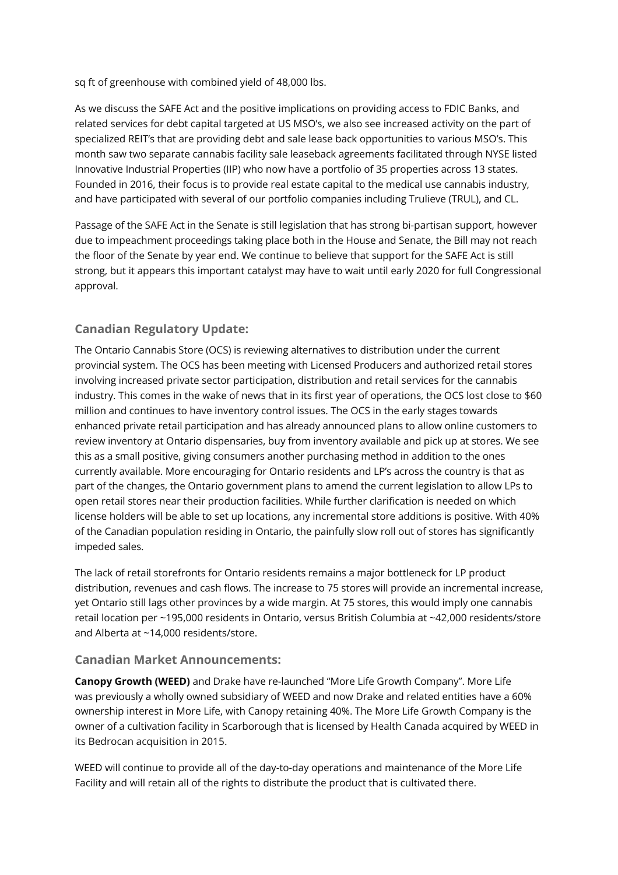sq ft of greenhouse with combined yield of 48,000 lbs.

As we discuss the SAFE Act and the positive implications on providing access to FDIC Banks, and related services for debt capital targeted at US MSO's, we also see increased activity on the part of specialized REIT's that are providing debt and sale lease back opportunities to various MSO's. This month saw two separate cannabis facility sale leaseback agreements facilitated through NYSE listed Innovative Industrial Properties (IIP) who now have a portfolio of 35 properties across 13 states. Founded in 2016, their focus is to provide real estate capital to the medical use cannabis industry, and have participated with several of our portfolio companies including Trulieve (TRUL), and CL.

Passage of the SAFE Act in the Senate is still legislation that has strong bi-partisan support, however due to impeachment proceedings taking place both in the House and Senate, the Bill may not reach the floor of the Senate by year end. We continue to believe that support for the SAFE Act is still strong, but it appears this important catalyst may have to wait until early 2020 for full Congressional approval.

# **Canadian Regulatory Update:**

The Ontario Cannabis Store (OCS) is reviewing alternatives to distribution under the current provincial system. The OCS has been meeting with Licensed Producers and authorized retail stores involving increased private sector participation, distribution and retail services for the cannabis industry. This comes in the wake of news that in its first year of operations, the OCS lost close to \$60 million and continues to have inventory control issues. The OCS in the early stages towards enhanced private retail participation and has already announced plans to allow online customers to review inventory at Ontario dispensaries, buy from inventory available and pick up at stores. We see this as a small positive, giving consumers another purchasing method in addition to the ones currently available. More encouraging for Ontario residents and LP's across the country is that as part of the changes, the Ontario government plans to amend the current legislation to allow LPs to open retail stores near their production facilities. While further clarification is needed on which license holders will be able to set up locations, any incremental store additions is positive. With 40% of the Canadian population residing in Ontario, the painfully slow roll out of stores has significantly impeded sales.

The lack of retail storefronts for Ontario residents remains a major bottleneck for LP product distribution, revenues and cash flows. The increase to 75 stores will provide an incremental increase, yet Ontario still lags other provinces by a wide margin. At 75 stores, this would imply one cannabis retail location per ~195,000 residents in Ontario, versus British Columbia at ~42,000 residents/store and Alberta at ~14,000 residents/store.

### **Canadian Market Announcements:**

**Canopy Growth (WEED)** and Drake have re-launched "More Life Growth Company". More Life was previously a wholly owned subsidiary of WEED and now Drake and related entities have a 60% ownership interest in More Life, with Canopy retaining 40%. The More Life Growth Company is the owner of a cultivation facility in Scarborough that is licensed by Health Canada acquired by WEED in its Bedrocan acquisition in 2015.

WEED will continue to provide all of the day-to-day operations and maintenance of the More Life Facility and will retain all of the rights to distribute the product that is cultivated there.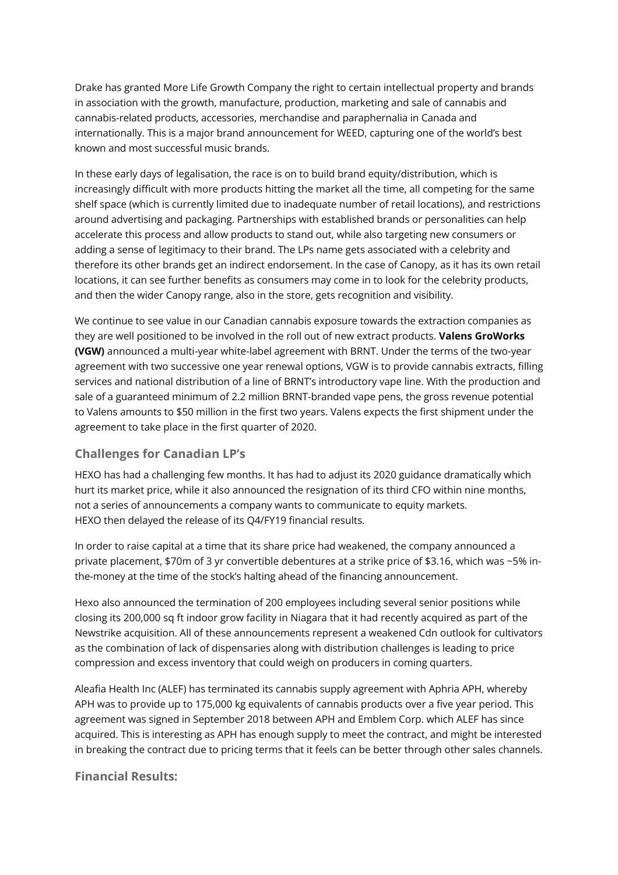Drake has granted More Life Growth Company the right to certain intellectual property and brands in association with the growth, manufacture, production, marketing and sale of cannabis and cannabis-related products, accessories, merchandise and paraphernalia in Canada and internationally. This is a major brand announcement for WEED, capturing one of the world's best known and most successful music brands.

In these early days of legalisation, the race is on to build brand equity/distribution, which is increasingly difficult with more products hitting the market all the time, all competing for the same shelf space (which is currently limited due to inadequate number of retail locations), and restrictions around advertising and packaging. Partnerships with established brands or personalities can help accelerate this process and allow products to stand out, while also targeting new consumers or adding a sense of legitimacy to their brand. The LPs name gets associated with a celebrity and therefore its other brands get an indirect endorsement. In the case of Canopy, as it has its own retail locations, it can see further benefits as consumers may come in to look for the celebrity products, and then the wider Canopy range, also in the store, gets recognition and visibility.

We continue to see value in our Canadian cannabis exposure towards the extraction companies as they are well positioned to be involved in the roll out of new extract products. **Valens GroWorks (VGW)** announced a multi-year white-label agreement with BRNT. Under the terms of the two-year agreement with two successive one year renewal options, VGW is to provide cannabis extracts, filling services and national distribution of a line of BRNT's introductory vape line. With the production and sale of a guaranteed minimum of 2.2 million BRNT-branded vape pens, the gross revenue potential to Valens amounts to \$50 million in the first two years. Valens expects the first shipment under the agreement to take place in the first quarter of 2020.

## **Challenges for Canadian LP's**

HEXO has had a challenging few months. It has had to adjust its 2020 guidance dramatically which hurt its market price, while it also announced the resignation of its third CFO within nine months, not a series of announcements a company wants to communicate to equity markets. HEXO then delayed the release of its Q4/FY19 financial results.

In order to raise capital at a time that its share price had weakened, the company announced a private placement, \$70m of 3 yr convertible debentures at a strike price of \$3.16, which was ~5% inthe-money at the time of the stock's halting ahead of the financing announcement.

Hexo also announced the termination of 200 employees including several senior positions while closing its 200,000 sq ft indoor grow facility in Niagara that it had recently acquired as part of the Newstrike acquisition. All of these announcements represent a weakened Cdn outlook for cultivators as the combination of lack of dispensaries along with distribution challenges is leading to price compression and excess inventory that could weigh on producers in coming quarters.

Aleafia Health Inc (ALEF) has terminated its cannabis supply agreement with Aphria APH, whereby APH was to provide up to 175,000 kg equivalents of cannabis products over a five year period. This agreement was signed in September 2018 between APH and Emblem Corp. which ALEF has since acquired. This is interesting as APH has enough supply to meet the contract, and might be interested in breaking the contract due to pricing terms that it feels can be better through other sales channels.

**Financial Results:**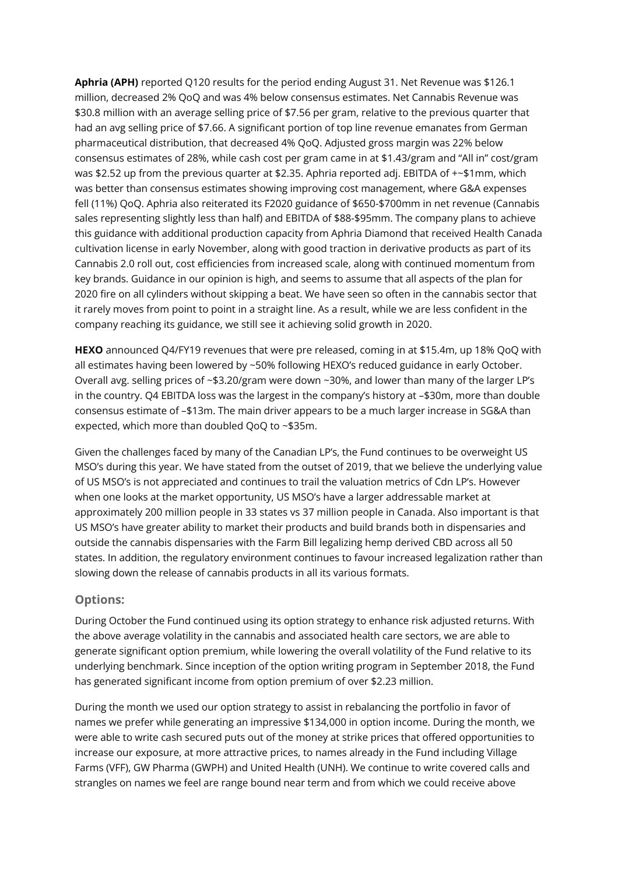**Aphria (APH)** reported Q120 results for the period ending August 31. Net Revenue was \$126.1 million, decreased 2% QoQ and was 4% below consensus estimates. Net Cannabis Revenue was \$30.8 million with an average selling price of \$7.56 per gram, relative to the previous quarter that had an avg selling price of \$7.66. A significant portion of top line revenue emanates from German pharmaceutical distribution, that decreased 4% QoQ. Adjusted gross margin was 22% below consensus estimates of 28%, while cash cost per gram came in at \$1.43/gram and "All in" cost/gram was \$2.52 up from the previous quarter at \$2.35. Aphria reported adj. EBITDA of +~\$1mm, which was better than consensus estimates showing improving cost management, where G&A expenses fell (11%) QoQ. Aphria also reiterated its F2020 guidance of \$650-\$700mm in net revenue (Cannabis sales representing slightly less than half) and EBITDA of \$88-\$95mm. The company plans to achieve this guidance with additional production capacity from Aphria Diamond that received Health Canada cultivation license in early November, along with good traction in derivative products as part of its Cannabis 2.0 roll out, cost efficiencies from increased scale, along with continued momentum from key brands. Guidance in our opinion is high, and seems to assume that all aspects of the plan for 2020 fire on all cylinders without skipping a beat. We have seen so often in the cannabis sector that it rarely moves from point to point in a straight line. As a result, while we are less confident in the company reaching its guidance, we still see it achieving solid growth in 2020.

**HEXO** announced Q4/FY19 revenues that were pre released, coming in at \$15.4m, up 18% QoQ with all estimates having been lowered by ~50% following HEXO's reduced guidance in early October. Overall avg. selling prices of ~\$3.20/gram were down ~30%, and lower than many of the larger LP's in the country. Q4 EBITDA loss was the largest in the company's history at  $-$ \$30m, more than double consensus estimate of –\$13m. The main driver appears to be a much larger increase in SG&A than expected, which more than doubled QoQ to ~\$35m.

Given the challenges faced by many of the Canadian LP's, the Fund continues to be overweight US MSO's during this year. We have stated from the outset of 2019, that we believe the underlying value of US MSO's is not appreciated and continues to trail the valuation metrics of Cdn LP's. However when one looks at the market opportunity, US MSO's have a larger addressable market at approximately 200 million people in 33 states vs 37 million people in Canada. Also important is that US MSO's have greater ability to market their products and build brands both in dispensaries and outside the cannabis dispensaries with the Farm Bill legalizing hemp derived CBD across all 50 states. In addition, the regulatory environment continues to favour increased legalization rather than slowing down the release of cannabis products in all its various formats.

### **Options:**

During October the Fund continued using its option strategy to enhance risk adjusted returns. With the above average volatility in the cannabis and associated health care sectors, we are able to generate significant option premium, while lowering the overall volatility of the Fund relative to its underlying benchmark. Since inception of the option writing program in September 2018, the Fund has generated significant income from option premium of over \$2.23 million.

During the month we used our option strategy to assist in rebalancing the portfolio in favor of names we prefer while generating an impressive \$134,000 in option income. During the month, we were able to write cash secured puts out of the money at strike prices that offered opportunities to increase our exposure, at more attractive prices, to names already in the Fund including Village Farms (VFF), GW Pharma (GWPH) and United Health (UNH). We continue to write covered calls and strangles on names we feel are range bound near term and from which we could receive above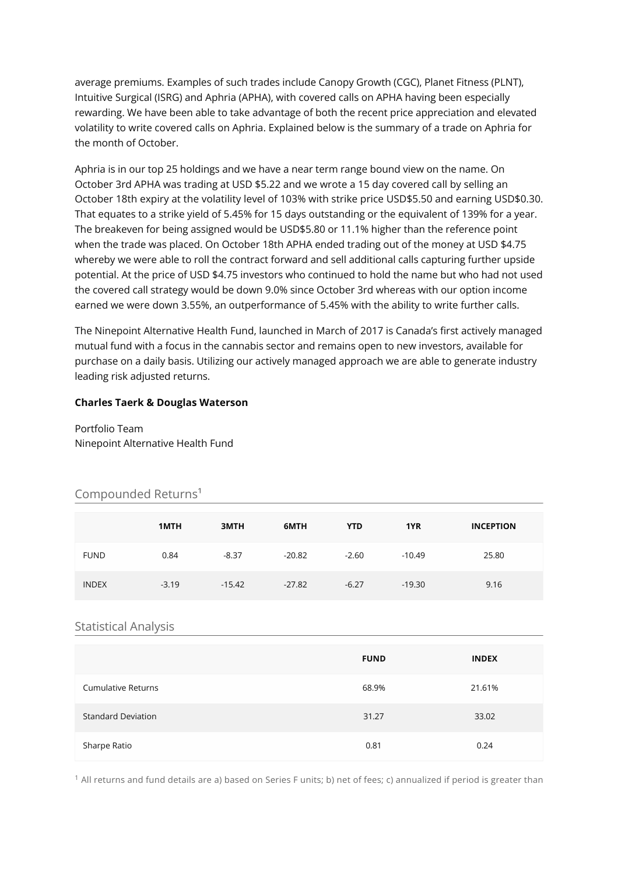average premiums. Examples of such trades include Canopy Growth (CGC), Planet Fitness (PLNT), Intuitive Surgical (ISRG) and Aphria (APHA), with covered calls on APHA having been especially rewarding. We have been able to take advantage of both the recent price appreciation and elevated volatility to write covered calls on Aphria. Explained below is the summary of a trade on Aphria for the month of October.

Aphria is in our top 25 holdings and we have a near term range bound view on the name. On October 3rd APHA was trading at USD \$5.22 and we wrote a 15 day covered call by selling an October 18th expiry at the volatility level of 103% with strike price USD\$5.50 and earning USD\$0.30. That equates to a strike yield of 5.45% for 15 days outstanding or the equivalent of 139% for a year. The breakeven for being assigned would be USD\$5.80 or 11.1% higher than the reference point when the trade was placed. On October 18th APHA ended trading out of the money at USD \$4.75 whereby we were able to roll the contract forward and sell additional calls capturing further upside potential. At the price of USD \$4.75 investors who continued to hold the name but who had not used the covered call strategy would be down 9.0% since October 3rd whereas with our option income earned we were down 3.55%, an outperformance of 5.45% with the ability to write further calls.

The Ninepoint Alternative Health Fund, launched in March of 2017 is Canada's first actively managed mutual fund with a focus in the cannabis sector and remains open to new investors, available for purchase on a daily basis. Utilizing our actively managed approach we are able to generate industry leading risk adjusted returns.

#### **Charles Taerk & Douglas Waterson**

Portfolio Team Ninepoint Alternative Health Fund

## Compounded Returns<sup>1</sup>

|              | 1MTH    | 3MTH     | 6MTH     | <b>YTD</b> | 1YR      | <b>INCEPTION</b> |
|--------------|---------|----------|----------|------------|----------|------------------|
| <b>FUND</b>  | 0.84    | $-8.37$  | $-20.82$ | $-2.60$    | $-10.49$ | 25.80            |
| <b>INDEX</b> | $-3.19$ | $-15.42$ | $-27.82$ | $-6.27$    | $-19.30$ | 9.16             |

#### Statistical Analysis

|                           | <b>FUND</b> | <b>INDEX</b> |
|---------------------------|-------------|--------------|
| <b>Cumulative Returns</b> | 68.9%       | 21.61%       |
| <b>Standard Deviation</b> | 31.27       | 33.02        |
| Sharpe Ratio              | 0.81        | 0.24         |

<sup>1</sup> All returns and fund details are a) based on Series F units; b) net of fees; c) annualized if period is greater than